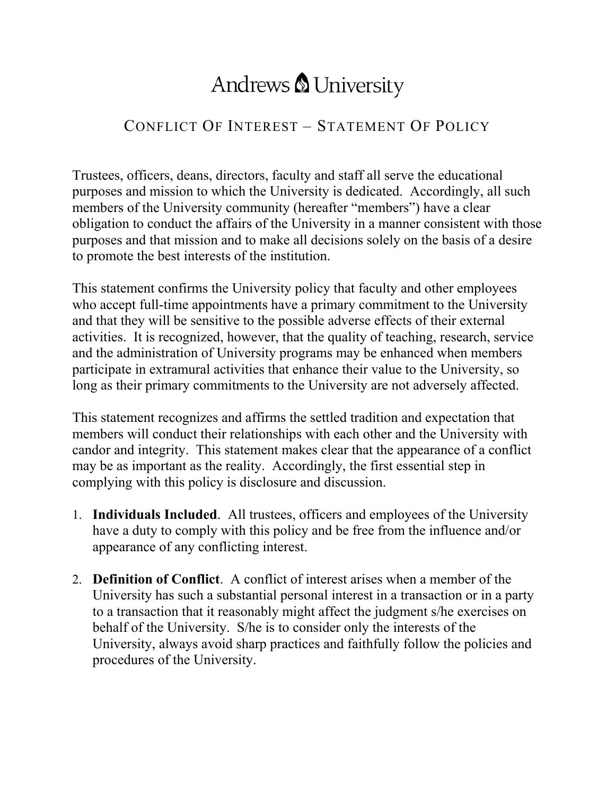## Andrews & University

## CONFLICT OF INTEREST – STATEMENT OF POLICY

Trustees, officers, deans, directors, faculty and staff all serve the educational purposes and mission to which the University is dedicated. Accordingly, all such members of the University community (hereafter "members") have a clear obligation to conduct the affairs of the University in a manner consistent with those purposes and that mission and to make all decisions solely on the basis of a desire to promote the best interests of the institution.

This statement confirms the University policy that faculty and other employees who accept full-time appointments have a primary commitment to the University and that they will be sensitive to the possible adverse effects of their external activities. It is recognized, however, that the quality of teaching, research, service and the administration of University programs may be enhanced when members participate in extramural activities that enhance their value to the University, so long as their primary commitments to the University are not adversely affected.

This statement recognizes and affirms the settled tradition and expectation that members will conduct their relationships with each other and the University with candor and integrity. This statement makes clear that the appearance of a conflict may be as important as the reality. Accordingly, the first essential step in complying with this policy is disclosure and discussion.

- 1. **Individuals Included**. All trustees, officers and employees of the University have a duty to comply with this policy and be free from the influence and/or appearance of any conflicting interest.
- 2. **Definition of Conflict**. A conflict of interest arises when a member of the University has such a substantial personal interest in a transaction or in a party to a transaction that it reasonably might affect the judgment s/he exercises on behalf of the University. S/he is to consider only the interests of the University, always avoid sharp practices and faithfully follow the policies and procedures of the University.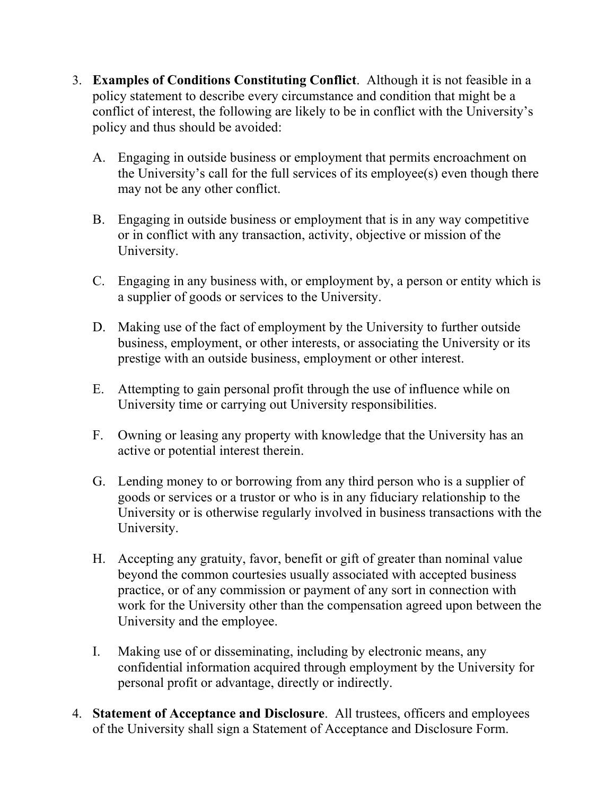- 3. **Examples of Conditions Constituting Conflict**. Although it is not feasible in a policy statement to describe every circumstance and condition that might be a conflict of interest, the following are likely to be in conflict with the University's policy and thus should be avoided:
	- A. Engaging in outside business or employment that permits encroachment on the University's call for the full services of its employee(s) even though there may not be any other conflict.
	- B. Engaging in outside business or employment that is in any way competitive or in conflict with any transaction, activity, objective or mission of the University.
	- C. Engaging in any business with, or employment by, a person or entity which is a supplier of goods or services to the University.
	- D. Making use of the fact of employment by the University to further outside business, employment, or other interests, or associating the University or its prestige with an outside business, employment or other interest.
	- E. Attempting to gain personal profit through the use of influence while on University time or carrying out University responsibilities.
	- F. Owning or leasing any property with knowledge that the University has an active or potential interest therein.
	- G. Lending money to or borrowing from any third person who is a supplier of goods or services or a trustor or who is in any fiduciary relationship to the University or is otherwise regularly involved in business transactions with the University.
	- H. Accepting any gratuity, favor, benefit or gift of greater than nominal value beyond the common courtesies usually associated with accepted business practice, or of any commission or payment of any sort in connection with work for the University other than the compensation agreed upon between the University and the employee.
	- I. Making use of or disseminating, including by electronic means, any confidential information acquired through employment by the University for personal profit or advantage, directly or indirectly.
- 4. **Statement of Acceptance and Disclosure**. All trustees, officers and employees of the University shall sign a Statement of Acceptance and Disclosure Form.